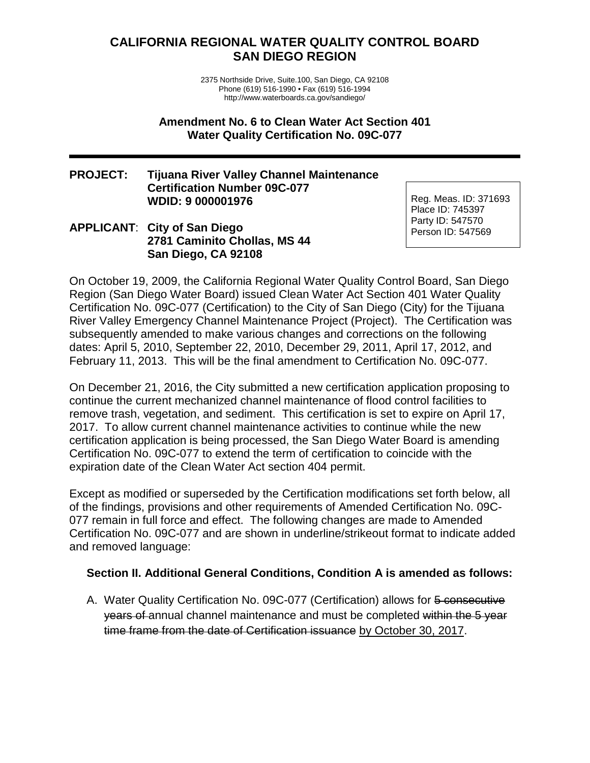# **CALIFORNIA REGIONAL WATER QUALITY CONTROL BOARD SAN DIEGO REGION**

2375 Northside Drive, Suite.100, San Diego, CA 92108 Phone (619) 516-1990 • Fax (619) 516-1994 http://www.waterboards.ca.gov/sandiego/

**Amendment No. 6 to Clean Water Act Section 401 Water Quality Certification No. 09C-077**

#### **PROJECT: Tijuana River Valley Channel Maintenance Certification Number 09C-077 WDID: 9 000001976**

### **APPLICANT**: **City of San Diego 2781 Caminito Chollas, MS 44 San Diego, CA 92108**

Reg. Meas. ID: 371693 Place ID: 745397 Party ID: 547570 Person ID: 547569

On October 19, 2009, the California Regional Water Quality Control Board, San Diego Region (San Diego Water Board) issued Clean Water Act Section 401 Water Quality Certification No. 09C-077 (Certification) to the City of San Diego (City) for the Tijuana River Valley Emergency Channel Maintenance Project (Project). The Certification was subsequently amended to make various changes and corrections on the following dates: April 5, 2010, September 22, 2010, December 29, 2011, April 17, 2012, and February 11, 2013. This will be the final amendment to Certification No. 09C-077.

On December 21, 2016, the City submitted a new certification application proposing to continue the current mechanized channel maintenance of flood control facilities to remove trash, vegetation, and sediment. This certification is set to expire on April 17, 2017. To allow current channel maintenance activities to continue while the new certification application is being processed, the San Diego Water Board is amending Certification No. 09C-077 to extend the term of certification to coincide with the expiration date of the Clean Water Act section 404 permit.

Except as modified or superseded by the Certification modifications set forth below, all of the findings, provisions and other requirements of Amended Certification No. 09C-077 remain in full force and effect. The following changes are made to Amended Certification No. 09C-077 and are shown in underline/strikeout format to indicate added and removed language:

### **Section II. Additional General Conditions, Condition A is amended as follows:**

A. Water Quality Certification No. 09C-077 (Certification) allows for 5 consecutive years of annual channel maintenance and must be completed within the 5 year time frame from the date of Certification issuance by October 30, 2017.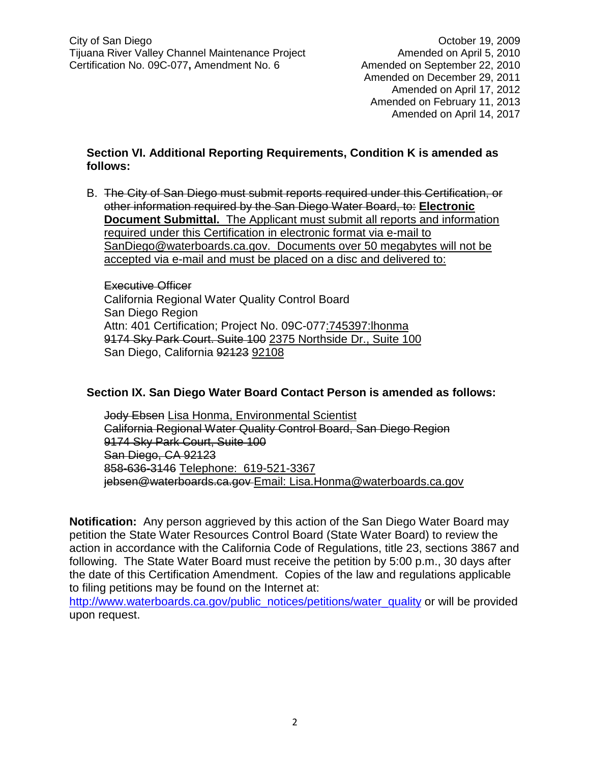Amended on December 29, 2011 Amended on April 17, 2012 Amended on February 11, 2013 Amended on April 14, 2017

## **Section VI. Additional Reporting Requirements, Condition K is amended as follows:**

B. The City of San Diego must submit reports required under this Certification, or other information required by the San Diego Water Board, to: **Electronic Document Submittal.** The Applicant must submit all reports and information required under this Certification in electronic format via e-mail to SanDiego@waterboards.ca.gov. Documents over 50 megabytes will not be accepted via e-mail and must be placed on a disc and delivered to:

Executive Officer California Regional Water Quality Control Board San Diego Region Attn: 401 Certification; Project No. 09C-077:745397:lhonma 9174 Sky Park Court. Suite 100 2375 Northside Dr., Suite 100 San Diego, California 92123 92108

### **Section IX. San Diego Water Board Contact Person is amended as follows:**

Jody Ebsen Lisa Honma, Environmental Scientist California Regional Water Quality Control Board, San Diego Region 9174 Sky Park Court, Suite 100 San Diego, CA 92123 858-636-3146 Telephone: 619-521-3367 jebsen@waterboards.ca.gov Email: Lisa.Honma@waterboards.ca.gov

**Notification:** Any person aggrieved by this action of the San Diego Water Board may petition the State Water Resources Control Board (State Water Board) to review the action in accordance with the California Code of Regulations, title 23, sections 3867 and following. The State Water Board must receive the petition by 5:00 p.m., 30 days after the date of this Certification Amendment. Copies of the law and regulations applicable to filing petitions may be found on the Internet at:

[http://www.waterboards.ca.gov/public\\_notices/petitions/water\\_quality](http://www.waterboards.ca.gov/public_notices/petitions/water_quality) or will be provided upon request.